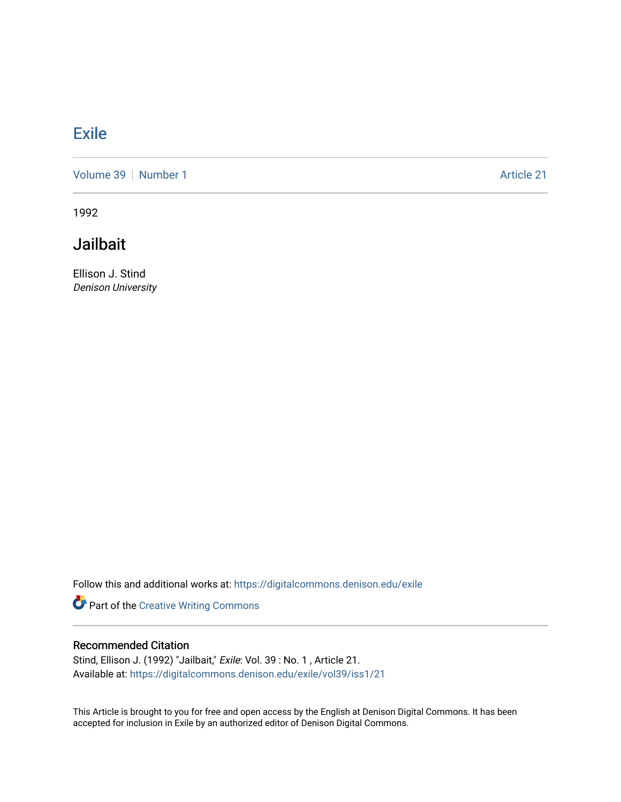## **[Exile](https://digitalcommons.denison.edu/exile)**

[Volume 39](https://digitalcommons.denison.edu/exile/vol39) [Number 1](https://digitalcommons.denison.edu/exile/vol39/iss1) Article 21

1992

## **Jailbait**

Ellison J. Stind Denison University

Follow this and additional works at: [https://digitalcommons.denison.edu/exile](https://digitalcommons.denison.edu/exile?utm_source=digitalcommons.denison.edu%2Fexile%2Fvol39%2Fiss1%2F21&utm_medium=PDF&utm_campaign=PDFCoverPages) 

Part of the [Creative Writing Commons](http://network.bepress.com/hgg/discipline/574?utm_source=digitalcommons.denison.edu%2Fexile%2Fvol39%2Fiss1%2F21&utm_medium=PDF&utm_campaign=PDFCoverPages) 

## Recommended Citation

Stind, Ellison J. (1992) "Jailbait," Exile: Vol. 39 : No. 1 , Article 21. Available at: [https://digitalcommons.denison.edu/exile/vol39/iss1/21](https://digitalcommons.denison.edu/exile/vol39/iss1/21?utm_source=digitalcommons.denison.edu%2Fexile%2Fvol39%2Fiss1%2F21&utm_medium=PDF&utm_campaign=PDFCoverPages)

This Article is brought to you for free and open access by the English at Denison Digital Commons. It has been accepted for inclusion in Exile by an authorized editor of Denison Digital Commons.